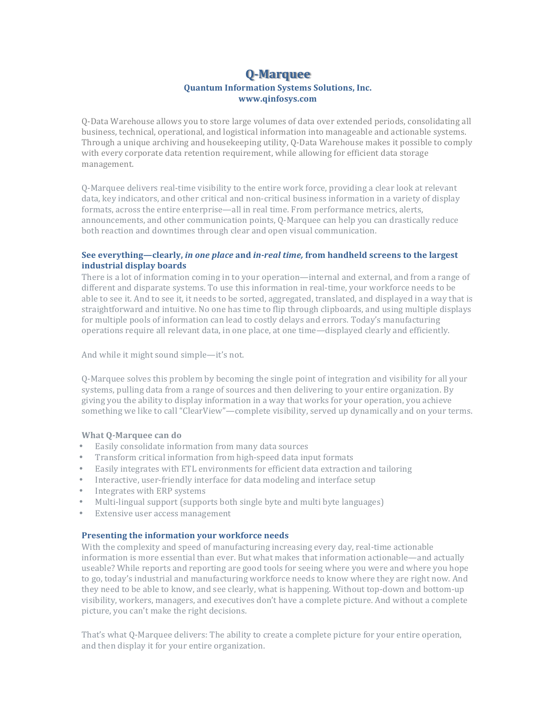# **Q-Marquee Quantum Information Systems Solutions, Inc. www.qinfosys.com**

O-Data Warehouse allows you to store large volumes of data over extended periods, consolidating all business, technical, operational, and logistical information into manageable and actionable systems. Through a unique archiving and housekeeping utility, Q-Data Warehouse makes it possible to comply with every corporate data retention requirement, while allowing for efficient data storage management.

Q-Marquee delivers real-time visibility to the entire work force, providing a clear look at relevant data, key indicators, and other critical and non-critical business information in a variety of display formats, across the entire enterprise—all in real time. From performance metrics, alerts, announcements, and other communication points, Q-Marquee can help you can drastically reduce both reaction and downtimes through clear and open visual communication.

# **See everything—clearly,** *in one place* **and** *in-real time,* **from handheld screens to the largest industrial display boards**

There is a lot of information coming in to your operation—internal and external, and from a range of different and disparate systems. To use this information in real-time, your workforce needs to be able to see it. And to see it, it needs to be sorted, aggregated, translated, and displayed in a way that is straightforward and intuitive. No one has time to flip through clipboards, and using multiple displays for multiple pools of information can lead to costly delays and errors. Today's manufacturing operations require all relevant data, in one place, at one time—displayed clearly and efficiently.

And while it might sound simple—it's not.

Q-Marquee solves this problem by becoming the single point of integration and visibility for all your systems, pulling data from a range of sources and then delivering to your entire organization. By giving you the ability to display information in a way that works for your operation, you achieve something we like to call "ClearView"—complete visibility, served up dynamically and on your terms.

# **What Q-Marquee can do**

- Easily consolidate information from many data sources
- Transform critical information from high-speed data input formats
- Easily integrates with ETL environments for efficient data extraction and tailoring
- Interactive, user-friendly interface for data modeling and interface setup
- Integrates with ERP systems
- Multi-lingual support (supports both single byte and multi byte languages)
- Extensive user access management

### **Presenting the information your workforce needs**

With the complexity and speed of manufacturing increasing every day, real-time actionable information is more essential than ever. But what makes that information actionable—and actually useable? While reports and reporting are good tools for seeing where you were and where you hope to go, today's industrial and manufacturing workforce needs to know where they are right now. And they need to be able to know, and see clearly, what is happening. Without top-down and bottom-up visibility, workers, managers, and executives don't have a complete picture. And without a complete picture, you can't make the right decisions.

That's what Q-Marquee delivers: The ability to create a complete picture for your entire operation, and then display it for your entire organization.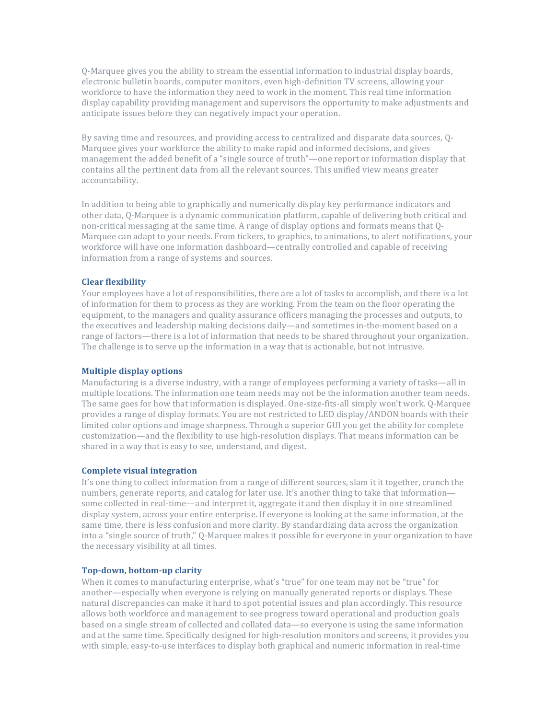Q-Marquee gives you the ability to stream the essential information to industrial display boards, electronic bulletin boards, computer monitors, even high-definition TV screens, allowing your workforce to have the information they need to work in the moment. This real time information display capability providing management and supervisors the opportunity to make adjustments and anticipate issues before they can negatively impact your operation.

By saving time and resources, and providing access to centralized and disparate data sources, Q-Marquee gives your workforce the ability to make rapid and informed decisions, and gives management the added benefit of a "single source of truth"—one report or information display that contains all the pertinent data from all the relevant sources. This unified view means greater accountability.

In addition to being able to graphically and numerically display key performance indicators and other data, Q-Marquee is a dynamic communication platform, capable of delivering both critical and non-critical messaging at the same time. A range of display options and formats means that Q-Marquee can adapt to your needs. From tickers, to graphics, to animations, to alert notifications, your workforce will have one information dashboard—centrally controlled and capable of receiving information from a range of systems and sources.

### **Clear flexibility**

Your employees have a lot of responsibilities, there are a lot of tasks to accomplish, and there is a lot of information for them to process as they are working. From the team on the floor operating the equipment, to the managers and quality assurance officers managing the processes and outputs, to the executives and leadership making decisions daily—and sometimes in-the-moment based on a range of factors—there is a lot of information that needs to be shared throughout your organization. The challenge is to serve up the information in a way that is actionable, but not intrusive.

#### **Multiple display options**

Manufacturing is a diverse industry, with a range of employees performing a variety of tasks—all in multiple locations. The information one team needs may not be the information another team needs. The same goes for how that information is displayed. One-size-fits-all simply won't work. Q-Marquee provides a range of display formats. You are not restricted to LED display/ANDON boards with their limited color options and image sharpness. Through a superior GUI you get the ability for complete customization—and the flexibility to use high-resolution displays. That means information can be shared in a way that is easy to see, understand, and digest.

#### **Complete visual integration**

It's one thing to collect information from a range of different sources, slam it it together, crunch the numbers, generate reports, and catalog for later use. It's another thing to take that information some collected in real-time—and interpret it, aggregate it and then display it in one streamlined display system, across your entire enterprise. If everyone is looking at the same information, at the same time, there is less confusion and more clarity. By standardizing data across the organization into a "single source of truth," Q-Marquee makes it possible for everyone in your organization to have the necessary visibility at all times.

#### **Top-down, bottom-up clarity**

When it comes to manufacturing enterprise, what's "true" for one team may not be "true" for another—especially when everyone is relying on manually generated reports or displays. These natural discrepancies can make it hard to spot potential issues and plan accordingly. This resource allows both workforce and management to see progress toward operational and production goals based on a single stream of collected and collated data—so everyone is using the same information and at the same time. Specifically designed for high-resolution monitors and screens, it provides you with simple, easy-to-use interfaces to display both graphical and numeric information in real-time